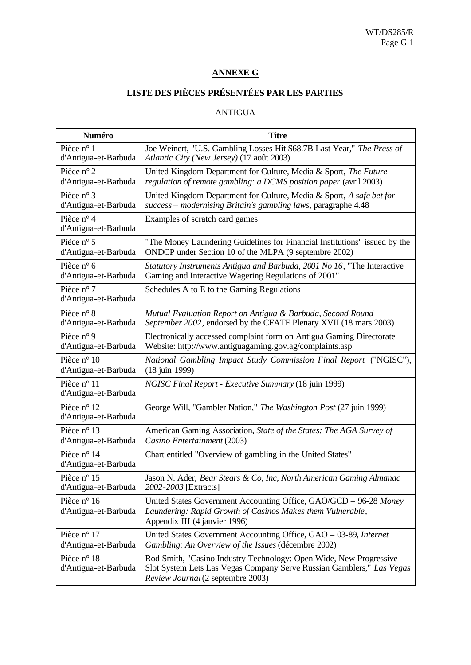## **ANNEXE G**

## **LISTE DES PIÈCES PRÉSENTÉES PAR LES PARTIES**

## ANTIGUA

| <b>Numéro</b>                       | <b>Titre</b>                                                                                                                                                                     |
|-------------------------------------|----------------------------------------------------------------------------------------------------------------------------------------------------------------------------------|
| Pièce n° 1                          | Joe Weinert, "U.S. Gambling Losses Hit \$68.7B Last Year," The Press of                                                                                                          |
| d'Antigua-et-Barbuda                | Atlantic City (New Jersey) (17 août 2003)                                                                                                                                        |
| Pièce $n^{\circ}$ 2                 | United Kingdom Department for Culture, Media & Sport, The Future                                                                                                                 |
| d'Antigua-et-Barbuda                | regulation of remote gambling: a DCMS position paper (avril 2003)                                                                                                                |
| Pièce n° 3                          | United Kingdom Department for Culture, Media & Sport, A safe bet for                                                                                                             |
| d'Antigua-et-Barbuda                | success - modernising Britain's gambling laws, paragraphe 4.48                                                                                                                   |
| Pièce n° 4<br>d'Antigua-et-Barbuda  | Examples of scratch card games                                                                                                                                                   |
| Pièce n° 5                          | "The Money Laundering Guidelines for Financial Institutions" issued by the                                                                                                       |
| d'Antigua-et-Barbuda                | ONDCP under Section 10 of the MLPA (9 septembre 2002)                                                                                                                            |
| Pièce n° 6                          | Statutory Instruments Antigua and Barbuda, 2001 No 16, "The Interactive                                                                                                          |
| d'Antigua-et-Barbuda                | Gaming and Interactive Wagering Regulations of 2001"                                                                                                                             |
| Pièce n° 7<br>d'Antigua-et-Barbuda  | Schedules A to E to the Gaming Regulations                                                                                                                                       |
| Pièce n° 8                          | Mutual Evaluation Report on Antigua & Barbuda, Second Round                                                                                                                      |
| d'Antigua-et-Barbuda                | September 2002, endorsed by the CFATF Plenary XVII (18 mars 2003)                                                                                                                |
| Pièce n° 9                          | Electronically accessed complaint form on Antigua Gaming Directorate                                                                                                             |
| d'Antigua-et-Barbuda                | Website: http://www.antiguagaming.gov.ag/complaints.asp                                                                                                                          |
| Pièce n° 10                         | National Gambling Impact Study Commission Final Report ("NGISC"),                                                                                                                |
| d'Antigua-et-Barbuda                | (18 juin 1999)                                                                                                                                                                   |
| Pièce n° 11<br>d'Antigua-et-Barbuda | NGISC Final Report - Executive Summary (18 juin 1999)                                                                                                                            |
| Pièce n° 12<br>d'Antigua-et-Barbuda | George Will, "Gambler Nation," The Washington Post (27 juin 1999)                                                                                                                |
| Pièce n° 13                         | American Gaming Association, State of the States: The AGA Survey of                                                                                                              |
| d'Antigua-et-Barbuda                | Casino Entertainment (2003)                                                                                                                                                      |
| Pièce n° 14<br>d'Antigua-et-Barbuda | Chart entitled "Overview of gambling in the United States"                                                                                                                       |
| Pièce n° 15                         | Jason N. Ader, Bear Stears & Co, Inc, North American Gaming Almanac                                                                                                              |
| d'Antigua-et-Barbuda                | 2002-2003 [Extracts]                                                                                                                                                             |
| Pièce n° 16<br>d'Antigua-et-Barbuda | United States Government Accounting Office, GAO/GCD - 96-28 Money<br>Laundering: Rapid Growth of Casinos Makes them Vulnerable,<br>Appendix III (4 janvier 1996)                 |
| Pièce n° 17                         | United States Government Accounting Office, GAO - 03-89, Internet                                                                                                                |
| d'Antigua-et-Barbuda                | Gambling: An Overview of the Issues (décembre 2002)                                                                                                                              |
| Pièce n° 18<br>d'Antigua-et-Barbuda | Rod Smith, "Casino Industry Technology: Open Wide, New Progressive<br>Slot System Lets Las Vegas Company Serve Russian Gamblers," Las Vegas<br>Review Journal (2 septembre 2003) |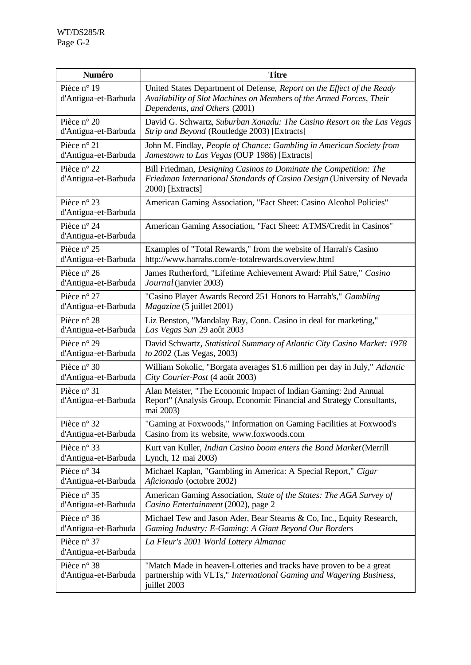| <b>Numéro</b>                       | <b>Titre</b>                                                                                                                                                                   |
|-------------------------------------|--------------------------------------------------------------------------------------------------------------------------------------------------------------------------------|
| Pièce n° 19<br>d'Antigua-et-Barbuda | United States Department of Defense, Report on the Effect of the Ready<br>Availability of Slot Machines on Members of the Armed Forces, Their<br>Dependents, and Others (2001) |
| Pièce n° 20                         | David G. Schwartz, Suburban Xanadu: The Casino Resort on the Las Vegas                                                                                                         |
| d'Antigua-et-Barbuda                | Strip and Beyond (Routledge 2003) [Extracts]                                                                                                                                   |
| Pièce n° 21                         | John M. Findlay, People of Chance: Gambling in American Society from                                                                                                           |
| d'Antigua-et-Barbuda                | Jamestown to Las Vegas (OUP 1986) [Extracts]                                                                                                                                   |
| Pièce n° 22<br>d'Antigua-et-Barbuda | Bill Friedman, Designing Casinos to Dominate the Competition: The<br>Friedman International Standards of Casino Design (University of Nevada<br>2000) [Extracts]               |
| Pièce n° 23<br>d'Antigua-et-Barbuda | American Gaming Association, "Fact Sheet: Casino Alcohol Policies"                                                                                                             |
| Pièce n° 24<br>d'Antigua-et-Barbuda | American Gaming Association, "Fact Sheet: ATMS/Credit in Casinos"                                                                                                              |
| Pièce n° 25                         | Examples of "Total Rewards," from the website of Harrah's Casino                                                                                                               |
| d'Antigua-et-Barbuda                | http://www.harrahs.com/e-totalrewards.overview.html                                                                                                                            |
| Pièce $n^{\circ} 26$                | James Rutherford, "Lifetime Achievement Award: Phil Satre," Casino                                                                                                             |
| d'Antigua-et-Barbuda                | Journal (janvier 2003)                                                                                                                                                         |
| Pièce n° 27                         | "Casino Player Awards Record 251 Honors to Harrah's," Gambling                                                                                                                 |
| d'Antigua-et-Barbuda                | <i>Magazine</i> (5 juillet 2001)                                                                                                                                               |
| Pièce n° 28                         | Liz Benston, "Mandalay Bay, Conn. Casino in deal for marketing,"                                                                                                               |
| d'Antigua-et-Barbuda                | Las Vegas Sun 29 août 2003                                                                                                                                                     |
| Pièce n° 29                         | David Schwartz, Statistical Summary of Atlantic City Casino Market: 1978                                                                                                       |
| d'Antigua-et-Barbuda                | to 2002 (Las Vegas, 2003)                                                                                                                                                      |
| Pièce n° 30                         | William Sokolic, "Borgata averages \$1.6 million per day in July," Atlantic                                                                                                    |
| d'Antigua-et-Barbuda                | City Courier-Post (4 août 2003)                                                                                                                                                |
| Pièce n° 31<br>d'Antigua-et-Barbuda | Alan Meister, "The Economic Impact of Indian Gaming: 2nd Annual<br>Report" (Analysis Group, Economic Financial and Strategy Consultants,<br>mai 2003)                          |
| Pièce n° 32                         | "Gaming at Foxwoods," Information on Gaming Facilities at Foxwood's                                                                                                            |
| d'Antigua-et-Barbuda                | Casino from its website, www.foxwoods.com                                                                                                                                      |
| Pièce n° 33                         | Kurt van Kuller, Indian Casino boom enters the Bond Market (Merrill                                                                                                            |
| d'Antigua-et-Barbuda                | Lynch, 12 mai 2003)                                                                                                                                                            |
| Pièce n° 34                         | Michael Kaplan, "Gambling in America: A Special Report," Cigar                                                                                                                 |
| d'Antigua-et-Barbuda                | Aficionado (octobre 2002)                                                                                                                                                      |
| Pièce n° 35                         | American Gaming Association, State of the States: The AGA Survey of                                                                                                            |
| d'Antigua-et-Barbuda                | Casino Entertainment (2002), page 2                                                                                                                                            |
| Pièce n° 36                         | Michael Tew and Jason Ader, Bear Stearns & Co, Inc., Equity Research,                                                                                                          |
| d'Antigua-et-Barbuda                | Gaming Industry: E-Gaming: A Giant Beyond Our Borders                                                                                                                          |
| Pièce n° 37<br>d'Antigua-et-Barbuda | La Fleur's 2001 World Lottery Almanac                                                                                                                                          |
| Pièce n° 38<br>d'Antigua-et-Barbuda | "Match Made in heaven-Lotteries and tracks have proven to be a great<br>partnership with VLTs," International Gaming and Wagering Business,<br>juillet 2003                    |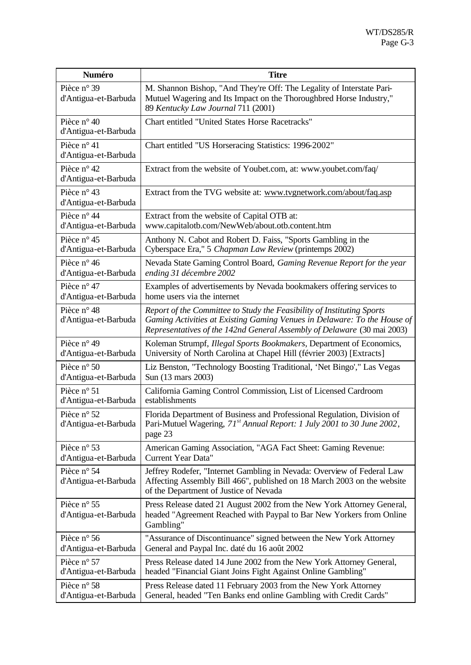| Numéro                              | <b>Titre</b>                                                                                                                                                                                                                  |
|-------------------------------------|-------------------------------------------------------------------------------------------------------------------------------------------------------------------------------------------------------------------------------|
| Pièce n° 39<br>d'Antigua-et-Barbuda | M. Shannon Bishop, "And They're Off: The Legality of Interstate Pari-<br>Mutuel Wagering and Its Impact on the Thoroughbred Horse Industry,"<br>89 Kentucky Law Journal 711 (2001)                                            |
| Pièce n° 40<br>d'Antigua-et-Barbuda | <b>Chart entitled "United States Horse Racetracks"</b>                                                                                                                                                                        |
| Pièce n° 41<br>d'Antigua-et-Barbuda | Chart entitled "US Horseracing Statistics: 1996-2002"                                                                                                                                                                         |
| Pièce n° 42<br>d'Antigua-et-Barbuda | Extract from the website of Youbet.com, at: www.youbet.com/faq/                                                                                                                                                               |
| Pièce n° 43<br>d'Antigua-et-Barbuda | Extract from the TVG website at: www.tvgnetwork.com/about/faq.asp                                                                                                                                                             |
| Pièce n° 44                         | Extract from the website of Capital OTB at:                                                                                                                                                                                   |
| d'Antigua-et-Barbuda                | www.capitalotb.com/NewWeb/about.otb.content.htm                                                                                                                                                                               |
| Pièce n° 45                         | Anthony N. Cabot and Robert D. Faiss, "Sports Gambling in the                                                                                                                                                                 |
| d'Antigua-et-Barbuda                | Cyberspace Era," 5 Chapman Law Review (printemps 2002)                                                                                                                                                                        |
| Pièce n° 46                         | Nevada State Gaming Control Board, Gaming Revenue Report for the year                                                                                                                                                         |
| d'Antigua-et-Barbuda                | ending 31 décembre 2002                                                                                                                                                                                                       |
| Pièce n° 47                         | Examples of advertisements by Nevada bookmakers offering services to                                                                                                                                                          |
| d'Antigua-et-Barbuda                | home users via the internet                                                                                                                                                                                                   |
| Pièce n° 48<br>d'Antigua-et-Barbuda | Report of the Committee to Study the Feasibility of Instituting Sports<br>Gaming Activities at Existing Gaming Venues in Delaware: To the House of<br>Representatives of the 142nd General Assembly of Delaware (30 mai 2003) |
| Pièce n° 49                         | Koleman Strumpf, Illegal Sports Bookmakers, Department of Economics,                                                                                                                                                          |
| d'Antigua-et-Barbuda                | University of North Carolina at Chapel Hill (février 2003) [Extracts]                                                                                                                                                         |
| Pièce n° 50                         | Liz Benston, "Technology Boosting Traditional, 'Net Bingo'," Las Vegas                                                                                                                                                        |
| d'Antigua-et-Barbuda                | Sun (13 mars 2003)                                                                                                                                                                                                            |
| Pièce n° 51                         | California Gaming Control Commission, List of Licensed Cardroom                                                                                                                                                               |
| d'Antigua-et-Barbuda                | establishments                                                                                                                                                                                                                |
| Pièce n° 52<br>d'Antigua-et-Barbuda | Florida Department of Business and Professional Regulation, Division of<br>Pari-Mutuel Wagering, 71st Annual Report: 1 July 2001 to 30 June 2002,<br>page 23                                                                  |
| Pièce n° 53                         | American Gaming Association, "AGA Fact Sheet: Gaming Revenue:                                                                                                                                                                 |
| d'Antigua-et-Barbuda                | Current Year Data"                                                                                                                                                                                                            |
| Pièce n° 54<br>d'Antigua-et-Barbuda | Jeffrey Rodefer, "Internet Gambling in Nevada: Overview of Federal Law<br>Affecting Assembly Bill 466", published on 18 March 2003 on the website<br>of the Department of Justice of Nevada                                   |
| Pièce n° 55<br>d'Antigua-et-Barbuda | Press Release dated 21 August 2002 from the New York Attorney General,<br>headed "Agreement Reached with Paypal to Bar New Yorkers from Online<br>Gambling"                                                                   |
| Pièce n° 56                         | "Assurance of Discontinuance" signed between the New York Attorney                                                                                                                                                            |
| d'Antigua-et-Barbuda                | General and Paypal Inc. daté du 16 août 2002                                                                                                                                                                                  |
| Pièce n° 57                         | Press Release dated 14 June 2002 from the New York Attorney General,                                                                                                                                                          |
| d'Antigua-et-Barbuda                | headed "Financial Giant Joins Fight Against Online Gambling"                                                                                                                                                                  |
| Pièce n° 58                         | Press Release dated 11 February 2003 from the New York Attorney                                                                                                                                                               |
| d'Antigua-et-Barbuda                | General, headed "Ten Banks end online Gambling with Credit Cards"                                                                                                                                                             |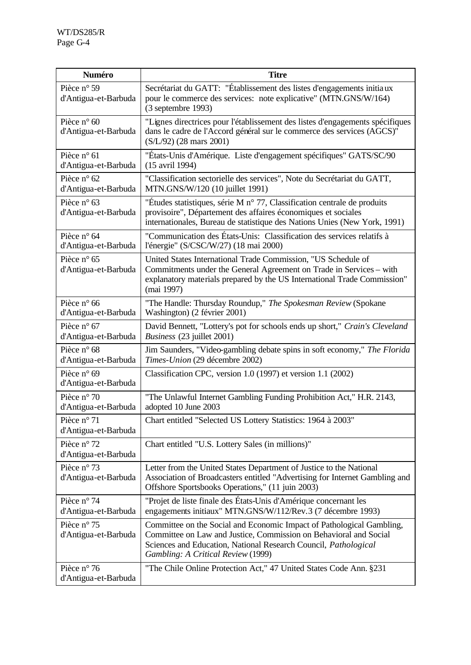| Numéro                                       | <b>Titre</b>                                                                                                                                                                                                                                        |
|----------------------------------------------|-----------------------------------------------------------------------------------------------------------------------------------------------------------------------------------------------------------------------------------------------------|
| Pièce n° 59<br>d'Antigua-et-Barbuda          | Secrétariat du GATT: "Établissement des listes d'engagements initiaux<br>pour le commerce des services: note explicative" (MTN.GNS/W/164)<br>$(3$ septembre 1993)                                                                                   |
| Pièce $n^{\circ}$ 60<br>d'Antigua-et-Barbuda | "Lignes directrices pour l'établissement des listes d'engagements spécifiques<br>dans le cadre de l'Accord général sur le commerce des services (AGCS)"<br>(S/L/92) (28 mars 2001)                                                                  |
| Pièce n° 61<br>d'Antigua-et-Barbuda          | "États-Unis d'Amérique. Liste d'engagement spécifiques" GATS/SC/90<br>(15 avril 1994)                                                                                                                                                               |
| Pièce n° 62<br>d'Antigua-et-Barbuda          | "Classification sectorielle des services", Note du Secrétariat du GATT,<br>MTN.GNS/W/120 (10 juillet 1991)                                                                                                                                          |
| Pièce n° 63<br>d'Antigua-et-Barbuda          | "Études statistiques, série M n° 77, Classification centrale de produits<br>provisoire", Département des affaires économiques et sociales<br>internationales, Bureau de statistique des Nations Unies (New York, 1991)                              |
| Pièce n° 64<br>d'Antigua-et-Barbuda          | "Communication des États-Unis: Classification des services relatifs à<br>l'énergie" (S/CSC/W/27) (18 mai 2000)                                                                                                                                      |
| Pièce n° 65<br>d'Antigua-et-Barbuda          | United States International Trade Commission, "US Schedule of<br>Commitments under the General Agreement on Trade in Services – with<br>explanatory materials prepared by the US International Trade Commission"<br>(mai 1997)                      |
| Pièce n° 66<br>d'Antigua-et-Barbuda          | "The Handle: Thursday Roundup," The Spokesman Review (Spokane<br>Washington) (2 février 2001)                                                                                                                                                       |
| Pièce n° 67<br>d'Antigua-et-Barbuda          | David Bennett, "Lottery's pot for schools ends up short," Crain's Cleveland<br>Business (23 juillet 2001)                                                                                                                                           |
| Pièce n° 68<br>d'Antigua-et-Barbuda          | Jim Saunders, "Video-gambling debate spins in soft economy," The Florida<br>Times-Union (29 décembre 2002)                                                                                                                                          |
| Pièce n° 69<br>d'Antigua-et-Barbuda          | Classification CPC, version 1.0 (1997) et version 1.1 (2002)                                                                                                                                                                                        |
| Pièce n° 70<br>d'Antigua-et-Barbuda          | "The Unlawful Internet Gambling Funding Prohibition Act," H.R. 2143,<br>adopted 10 June 2003                                                                                                                                                        |
| Pièce n° 71<br>d'Antigua-et-Barbuda          | Chart entitled "Selected US Lottery Statistics: 1964 à 2003"                                                                                                                                                                                        |
| Pièce n° 72<br>d'Antigua-et-Barbuda          | Chart entitled "U.S. Lottery Sales (in millions)"                                                                                                                                                                                                   |
| Pièce n° 73<br>d'Antigua-et-Barbuda          | Letter from the United States Department of Justice to the National<br>Association of Broadcasters entitled "Advertising for Internet Gambling and<br>Offshore Sportsbooks Operations," (11 juin 2003)                                              |
| Pièce n° 74<br>d'Antigua-et-Barbuda          | "Projet de liste finale des États-Unis d'Amérique concernant les<br>engagements initiaux" MTN.GNS/W/112/Rev.3 (7 décembre 1993)                                                                                                                     |
| Pièce n° 75<br>d'Antigua-et-Barbuda          | Committee on the Social and Economic Impact of Pathological Gambling,<br>Committee on Law and Justice, Commission on Behavioral and Social<br>Sciences and Education, National Research Council, Pathological<br>Gambling: A Critical Review (1999) |
| Pièce n° 76<br>d'Antigua-et-Barbuda          | "The Chile Online Protection Act," 47 United States Code Ann. §231                                                                                                                                                                                  |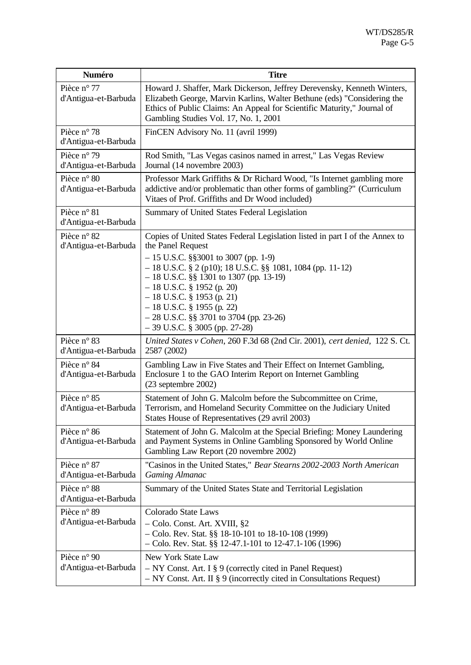| Numéro                              | <b>Titre</b>                                                                                                                                                                                                                                                                                                                                                                                                                      |
|-------------------------------------|-----------------------------------------------------------------------------------------------------------------------------------------------------------------------------------------------------------------------------------------------------------------------------------------------------------------------------------------------------------------------------------------------------------------------------------|
| Pièce n° 77<br>d'Antigua-et-Barbuda | Howard J. Shaffer, Mark Dickerson, Jeffrey Derevensky, Kenneth Winters,<br>Elizabeth George, Marvin Karlins, Walter Bethune (eds) "Considering the<br>Ethics of Public Claims: An Appeal for Scientific Maturity," Journal of<br>Gambling Studies Vol. 17, No. 1, 2001                                                                                                                                                            |
| Pièce n° 78<br>d'Antigua-et-Barbuda | FinCEN Advisory No. 11 (avril 1999)                                                                                                                                                                                                                                                                                                                                                                                               |
| Pièce n° 79<br>d'Antigua-et-Barbuda | Rod Smith, "Las Vegas casinos named in arrest," Las Vegas Review<br>Journal (14 novembre 2003)                                                                                                                                                                                                                                                                                                                                    |
| Pièce n° 80<br>d'Antigua-et-Barbuda | Professor Mark Griffiths & Dr Richard Wood, "Is Internet gambling more<br>addictive and/or problematic than other forms of gambling?" (Curriculum<br>Vitaes of Prof. Griffiths and Dr Wood included)                                                                                                                                                                                                                              |
| Pièce n° 81<br>d'Antigua-et-Barbuda | Summary of United States Federal Legislation                                                                                                                                                                                                                                                                                                                                                                                      |
| Pièce n° 82<br>d'Antigua-et-Barbuda | Copies of United States Federal Legislation listed in part I of the Annex to<br>the Panel Request<br>$-15$ U.S.C. §§3001 to 3007 (pp. 1-9)<br>$-18$ U.S.C. § 2 (p10); 18 U.S.C. §§ 1081, 1084 (pp. 11-12)<br>$-18$ U.S.C. §§ 1301 to 1307 (pp. 13-19)<br>$-18$ U.S.C. § 1952 (p. 20)<br>$-18$ U.S.C. § 1953 (p. 21)<br>$-18$ U.S.C. § 1955 (p. 22)<br>$-28$ U.S.C. §§ 3701 to 3704 (pp. 23-26)<br>$-39$ U.S.C. § 3005 (pp. 27-28) |
| Pièce n° 83<br>d'Antigua-et-Barbuda | United States v Cohen, 260 F.3d 68 (2nd Cir. 2001), cert denied, 122 S. Ct.<br>2587 (2002)                                                                                                                                                                                                                                                                                                                                        |
| Pièce n° 84<br>d'Antigua-et-Barbuda | Gambling Law in Five States and Their Effect on Internet Gambling,<br>Enclosure 1 to the GAO Interim Report on Internet Gambling<br>$(23$ septembre $2002)$                                                                                                                                                                                                                                                                       |
| Pièce n° 85<br>d'Antigua-et-Barbuda | Statement of John G. Malcolm before the Subcommittee on Crime,<br>Terrorism, and Homeland Security Committee on the Judiciary United<br>States House of Representatives (29 avril 2003)                                                                                                                                                                                                                                           |
| Pièce n° 86<br>d'Antigua-et-Barbuda | Statement of John G. Malcolm at the Special Briefing: Money Laundering<br>and Payment Systems in Online Gambling Sponsored by World Online<br>Gambling Law Report (20 novembre 2002)                                                                                                                                                                                                                                              |
| Pièce n° 87<br>d'Antigua-et-Barbuda | "Casinos in the United States," Bear Stearns 2002-2003 North American<br><b>Gaming Almanac</b>                                                                                                                                                                                                                                                                                                                                    |
| Pièce n° 88<br>d'Antigua-et-Barbuda | Summary of the United States State and Territorial Legislation                                                                                                                                                                                                                                                                                                                                                                    |
| Pièce n° 89<br>d'Antigua-et-Barbuda | Colorado State Laws<br>- Colo. Const. Art. XVIII, §2<br>$-$ Colo. Rev. Stat. §§ 18-10-101 to 18-10-108 (1999)<br>$-$ Colo. Rev. Stat. §§ 12-47.1-101 to 12-47.1-106 (1996)                                                                                                                                                                                                                                                        |
| Pièce n° 90<br>d'Antigua-et-Barbuda | New York State Law<br>$-$ NY Const. Art. I § 9 (correctly cited in Panel Request)<br>$-$ NY Const. Art. II § 9 (incorrectly cited in Consultations Request)                                                                                                                                                                                                                                                                       |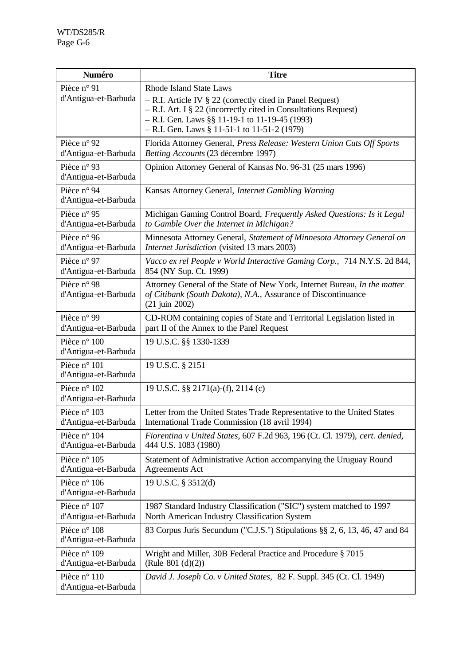| Numéro                               | <b>Titre</b>                                                                                                                                                                                                                                                      |
|--------------------------------------|-------------------------------------------------------------------------------------------------------------------------------------------------------------------------------------------------------------------------------------------------------------------|
| Pièce n° 91<br>d'Antigua-et-Barbuda  | Rhode Island State Laws<br>$-$ R.I. Article IV § 22 (correctly cited in Panel Request)<br>$-$ R.I. Art. I § 22 (incorrectly cited in Consultations Request)<br>$-$ R.I. Gen. Laws §§ 11-19-1 to 11-19-45 (1993)<br>$-$ R.I. Gen. Laws § 11-51-1 to 11-51-2 (1979) |
| Pièce n° 92<br>d'Antigua-et-Barbuda  | Florida Attorney General, Press Release: Western Union Cuts Off Sports<br>Betting Accounts (23 décembre 1997)                                                                                                                                                     |
| Pièce n° 93<br>d'Antigua-et-Barbuda  | Opinion Attorney General of Kansas No. 96-31 (25 mars 1996)                                                                                                                                                                                                       |
| Pièce n° 94<br>d'Antigua-et-Barbuda  | Kansas Attorney General, Internet Gambling Warning                                                                                                                                                                                                                |
| Pièce n° 95<br>d'Antigua-et-Barbuda  | Michigan Gaming Control Board, Frequently Asked Questions: Is it Legal<br>to Gamble Over the Internet in Michigan?                                                                                                                                                |
| Pièce n° 96<br>d'Antigua-et-Barbuda  | Minnesota Attorney General, Statement of Minnesota Attorney General on<br>Internet Jurisdiction (visited 13 mars 2003)                                                                                                                                            |
| Pièce n° 97<br>d'Antigua-et-Barbuda  | Vacco ex rel People v World Interactive Gaming Corp., 714 N.Y.S. 2d 844,<br>854 (NY Sup. Ct. 1999)                                                                                                                                                                |
| Pièce n° 98<br>d'Antigua-et-Barbuda  | Attorney General of the State of New York, Internet Bureau, In the matter<br>of Citibank (South Dakota), N.A., Assurance of Discontinuance<br>$(21)$ juin 2002)                                                                                                   |
| Pièce n° 99<br>d'Antigua-et-Barbuda  | CD-ROM containing copies of State and Territorial Legislation listed in<br>part II of the Annex to the Panel Request                                                                                                                                              |
| Pièce n° 100<br>d'Antigua-et-Barbuda | 19 U.S.C. §§ 1330-1339                                                                                                                                                                                                                                            |
| Pièce n° 101<br>d'Antigua-et-Barbuda | 19 U.S.C. § 2151                                                                                                                                                                                                                                                  |
| Pièce n° 102<br>d'Antigua-et-Barbuda | 19 U.S.C. §§ 2171(a)-(f), 2114 (c)                                                                                                                                                                                                                                |
| Pièce n° 103<br>d'Antigua-et-Barbuda | Letter from the United States Trade Representative to the United States<br>International Trade Commission (18 avril 1994)                                                                                                                                         |
| Pièce n° 104<br>d'Antigua-et-Barbuda | Fiorentina v United States, 607 F.2d 963, 196 (Ct. Cl. 1979), cert. denied,<br>444 U.S. 1083 (1980)                                                                                                                                                               |
| Pièce n° 105<br>d'Antigua-et-Barbuda | Statement of Administrative Action accompanying the Uruguay Round<br><b>Agreements Act</b>                                                                                                                                                                        |
| Pièce n° 106<br>d'Antigua-et-Barbuda | 19 U.S.C. § 3512(d)                                                                                                                                                                                                                                               |
| Pièce n° 107<br>d'Antigua-et-Barbuda | 1987 Standard Industry Classification ("SIC") system matched to 1997<br>North American Industry Classification System                                                                                                                                             |
| Pièce n° 108<br>d'Antigua-et-Barbuda | 83 Corpus Juris Secundum ("C.J.S.") Stipulations §§ 2, 6, 13, 46, 47 and 84                                                                                                                                                                                       |
| Pièce n° 109<br>d'Antigua-et-Barbuda | Wright and Miller, 30B Federal Practice and Procedure § 7015<br>(Rule $801$ (d)(2))                                                                                                                                                                               |
| Pièce n° 110<br>d'Antigua-et-Barbuda | David J. Joseph Co. v United States, 82 F. Suppl. 345 (Ct. Cl. 1949)                                                                                                                                                                                              |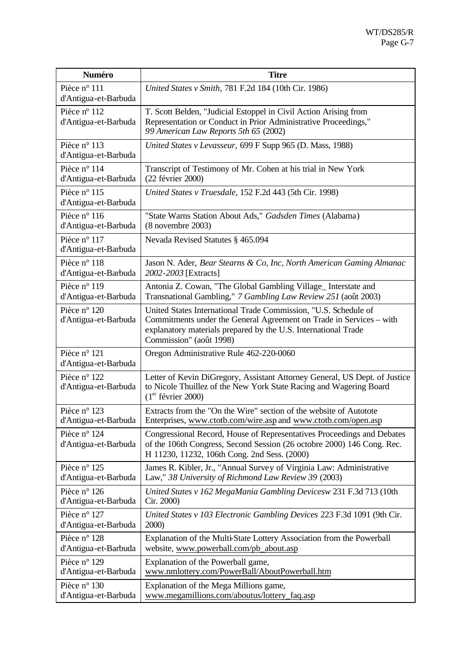| Numéro                               | <b>Titre</b>                                                                                                                                                                                                                        |
|--------------------------------------|-------------------------------------------------------------------------------------------------------------------------------------------------------------------------------------------------------------------------------------|
| Pièce n° 111<br>d'Antigua-et-Barbuda | United States v Smith, 781 F.2d 184 (10th Cir. 1986)                                                                                                                                                                                |
| Pièce n° 112<br>d'Antigua-et-Barbuda | T. Scott Belden, "Judicial Estoppel in Civil Action Arising from<br>Representation or Conduct in Prior Administrative Proceedings,"<br>99 American Law Reports 5th 65 (2002)                                                        |
| Pièce n° 113<br>d'Antigua-et-Barbuda | United States v Levasseur, 699 F Supp 965 (D. Mass, 1988)                                                                                                                                                                           |
| Pièce n° 114                         | Transcript of Testimony of Mr. Cohen at his trial in New York                                                                                                                                                                       |
| d'Antigua-et-Barbuda                 | (22 février 2000)                                                                                                                                                                                                                   |
| Pièce n° 115<br>d'Antigua-et-Barbuda | United States v Truesdale, 152 F.2d 443 (5th Cir. 1998)                                                                                                                                                                             |
| Pièce n° 116                         | "State Warns Station About Ads," Gadsden Times (Alabama)                                                                                                                                                                            |
| d'Antigua-et-Barbuda                 | $(8$ novembre 2003)                                                                                                                                                                                                                 |
| Pièce n° 117<br>d'Antigua-et-Barbuda | Nevada Revised Statutes § 465.094                                                                                                                                                                                                   |
| Pièce n° 118                         | Jason N. Ader, Bear Stearns & Co, Inc, North American Gaming Almanac                                                                                                                                                                |
| d'Antigua-et-Barbuda                 | 2002-2003 [Extracts]                                                                                                                                                                                                                |
| Pièce n° 119                         | Antonia Z. Cowan, "The Global Gambling Village_Interstate and                                                                                                                                                                       |
| d'Antigua-et-Barbuda                 | Transnational Gambling," 7 Gambling Law Review 251 (août 2003)                                                                                                                                                                      |
| Pièce n° 120<br>d'Antigua-et-Barbuda | United States International Trade Commission, "U.S. Schedule of<br>Commitments under the General Agreement on Trade in Services – with<br>explanatory materials prepared by the U.S. International Trade<br>Commission" (août 1998) |
| Pièce n° 121<br>d'Antigua-et-Barbuda | Oregon Administrative Rule 462-220-0060                                                                                                                                                                                             |
| Pièce n° 122<br>d'Antigua-et-Barbuda | Letter of Kevin DiGregory, Assistant Attorney General, US Dept. of Justice<br>to Nicole Thuillez of the New York State Racing and Wagering Board<br>$(1er$ février 2000)                                                            |
| Pièce n° 123                         | Extracts from the "On the Wire" section of the website of Autotote                                                                                                                                                                  |
| d'Antigua-et-Barbuda                 | Enterprises, www.ctotb.com/wire.asp and www.ctotb.com/open.asp                                                                                                                                                                      |
| Pièce n° 124<br>d'Antigua-et-Barbuda | Congressional Record, House of Representatives Proceedings and Debates<br>of the 106th Congress, Second Session (26 octobre 2000) 146 Cong. Rec.<br>H 11230, 11232, 106th Cong. 2nd Sess. (2000)                                    |
| Pièce n° 125                         | James R. Kibler, Jr., "Annual Survey of Virginia Law: Administrative                                                                                                                                                                |
| d'Antigua-et-Barbuda                 | Law," 38 University of Richmond Law Review 39 (2003)                                                                                                                                                                                |
| Pièce n° 126                         | United States v 162 MegaMania Gambling Devicesw 231 F.3d 713 (10th                                                                                                                                                                  |
| d'Antigua-et-Barbuda                 | Cir. 2000)                                                                                                                                                                                                                          |
| Pièce n° 127                         | United States v 103 Electronic Gambling Devices 223 F.3d 1091 (9th Cir.                                                                                                                                                             |
| d'Antigua-et-Barbuda                 | 2000)                                                                                                                                                                                                                               |
| Pièce n° 128                         | Explanation of the Multi-State Lottery Association from the Powerball                                                                                                                                                               |
| d'Antigua-et-Barbuda                 | website, www.powerball.com/pb_about.asp                                                                                                                                                                                             |
| Pièce n° 129                         | Explanation of the Powerball game,                                                                                                                                                                                                  |
| d'Antigua-et-Barbuda                 | www.nmlottery.com/PowerBall/AboutPowerball.htm                                                                                                                                                                                      |
| Pièce n° 130                         | Explanation of the Mega Millions game,                                                                                                                                                                                              |
| d'Antigua-et-Barbuda                 | www.megamillions.com/aboutus/lottery_faq.asp                                                                                                                                                                                        |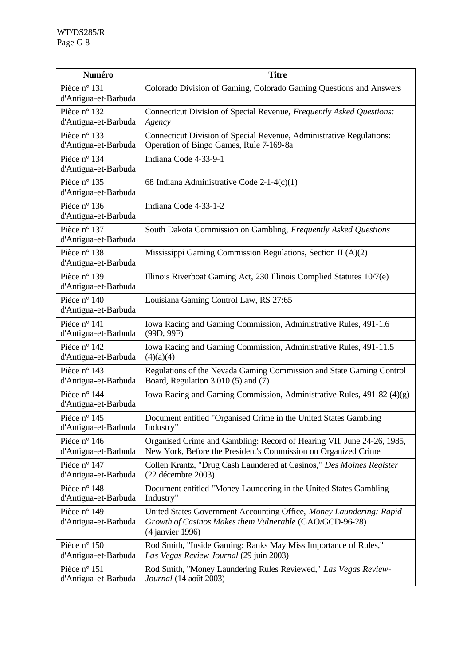| <b>Numéro</b>                        | <b>Titre</b>                                                                                                                                       |
|--------------------------------------|----------------------------------------------------------------------------------------------------------------------------------------------------|
| Pièce n° 131<br>d'Antigua-et-Barbuda | Colorado Division of Gaming, Colorado Gaming Questions and Answers                                                                                 |
| Pièce n° 132                         | Connecticut Division of Special Revenue, Frequently Asked Questions:                                                                               |
| d'Antigua-et-Barbuda                 | Agency                                                                                                                                             |
| Pièce n° 133                         | Connecticut Division of Special Revenue, Administrative Regulations:                                                                               |
| d'Antigua-et-Barbuda                 | Operation of Bingo Games, Rule 7-169-8a                                                                                                            |
| Pièce n° 134<br>d'Antigua-et-Barbuda | Indiana Code 4-33-9-1                                                                                                                              |
| Pièce n° 135<br>d'Antigua-et-Barbuda | 68 Indiana Administrative Code $2-1-4(c)(1)$                                                                                                       |
| Pièce n° 136<br>d'Antigua-et-Barbuda | Indiana Code 4-33-1-2                                                                                                                              |
| Pièce n° 137<br>d'Antigua-et-Barbuda | South Dakota Commission on Gambling, Frequently Asked Questions                                                                                    |
| Pièce n° 138<br>d'Antigua-et-Barbuda | Mississippi Gaming Commission Regulations, Section II (A)(2)                                                                                       |
| Pièce n° 139<br>d'Antigua-et-Barbuda | Illinois Riverboat Gaming Act, 230 Illinois Complied Statutes 10/7(e)                                                                              |
| Pièce n° 140<br>d'Antigua-et-Barbuda | Louisiana Gaming Control Law, RS 27:65                                                                                                             |
| Pièce n° 141                         | Iowa Racing and Gaming Commission, Administrative Rules, 491-1.6                                                                                   |
| d'Antigua-et-Barbuda                 | (99D, 99F)                                                                                                                                         |
| Pièce n° 142                         | Iowa Racing and Gaming Commission, Administrative Rules, 491-11.5                                                                                  |
| d'Antigua-et-Barbuda                 | (4)(a)(4)                                                                                                                                          |
| Pièce n° 143                         | Regulations of the Nevada Gaming Commission and State Gaming Control                                                                               |
| d'Antigua-et-Barbuda                 | Board, Regulation 3.010 (5) and (7)                                                                                                                |
| Pièce n° 144<br>d'Antigua-et-Barbuda | Iowa Racing and Gaming Commission, Administrative Rules, 491-82 (4)(g)                                                                             |
| Pièce n° 145                         | Document entitled "Organised Crime in the United States Gambling                                                                                   |
| d'Antigua-et-Barbuda                 | Industry"                                                                                                                                          |
| Pièce n° 146                         | Organised Crime and Gambling: Record of Hearing VII, June 24-26, 1985,                                                                             |
| d'Antigua-et-Barbuda                 | New York, Before the President's Commission on Organized Crime                                                                                     |
| Pièce n° 147                         | Collen Krantz, "Drug Cash Laundered at Casinos," Des Moines Register                                                                               |
| d'Antigua-et-Barbuda                 | (22 décembre 2003)                                                                                                                                 |
| Pièce n° 148                         | Document entitled "Money Laundering in the United States Gambling                                                                                  |
| d'Antigua-et-Barbuda                 | Industry"                                                                                                                                          |
| Pièce n° 149<br>d'Antigua-et-Barbuda | United States Government Accounting Office, Money Laundering: Rapid<br>Growth of Casinos Makes them Vulnerable (GAO/GCD-96-28)<br>(4 janvier 1996) |
| Pièce n° 150                         | Rod Smith, "Inside Gaming: Ranks May Miss Importance of Rules,"                                                                                    |
| d'Antigua-et-Barbuda                 | Las Vegas Review Journal (29 juin 2003)                                                                                                            |
| Pièce n° 151                         | Rod Smith, "Money Laundering Rules Reviewed," Las Vegas Review-                                                                                    |
| d'Antigua-et-Barbuda                 | Journal (14 août 2003)                                                                                                                             |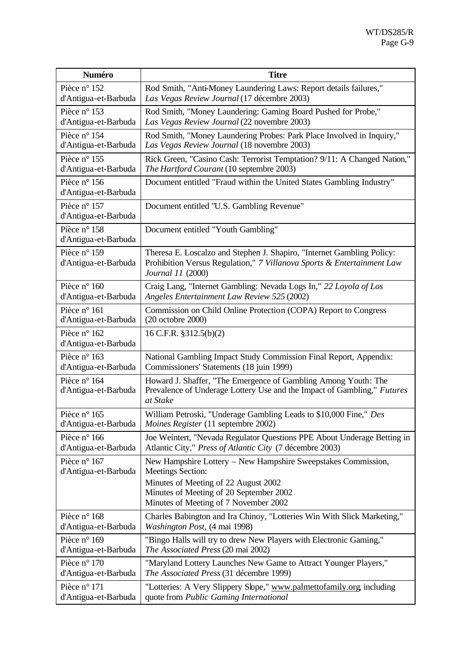| Numéro                               | <b>Titre</b>                                                                                                                                                                                                          |
|--------------------------------------|-----------------------------------------------------------------------------------------------------------------------------------------------------------------------------------------------------------------------|
| Pièce n° 152                         | Rod Smith, "Anti-Money Laundering Laws: Report details failures,"                                                                                                                                                     |
| d'Antigua-et-Barbuda                 | Las Vegas Review Journal (17 décembre 2003)                                                                                                                                                                           |
| Pièce n° 153                         | Rod Smith, "Money Laundering: Gaming Board Pushed for Probe,"                                                                                                                                                         |
| d'Antigua-et-Barbuda                 | Las Vegas Review Journal (22 novembre 2003)                                                                                                                                                                           |
| Pièce n° 154                         | Rod Smith, "Money Laundering Probes: Park Place Involved in Inquiry,"                                                                                                                                                 |
| d'Antigua-et-Barbuda                 | Las Vegas Review Journal (18 novembre 2003)                                                                                                                                                                           |
| Pièce n° 155                         | Rick Green, "Casino Cash: Terrorist Temptation? 9/11: A Changed Nation,"                                                                                                                                              |
| d'Antigua-et-Barbuda                 | The Hartford Courant (10 septembre 2003)                                                                                                                                                                              |
| Pièce n° 156<br>d'Antigua-et-Barbuda | Document entitled "Fraud within the United States Gambling Industry"                                                                                                                                                  |
| Pièce n° 157<br>d'Antigua-et-Barbuda | Document entitled "U.S. Gambling Revenue"                                                                                                                                                                             |
| Pièce n° 158<br>d'Antigua-et-Barbuda | Document entitled "Youth Gambling"                                                                                                                                                                                    |
| Pièce n° 159<br>d'Antigua-et-Barbuda | Theresa E. Loscalzo and Stephen J. Shapiro, "Internet Gambling Policy:<br>Prohibition Versus Regulation," 7 Villanova Sports & Entertainment Law<br>Journal 11 (2000)                                                 |
| Pièce n° 160                         | Craig Lang, "Internet Gambling: Nevada Logs In," 22 Loyola of Los                                                                                                                                                     |
| d'Antigua-et-Barbuda                 | Angeles Entertainment Law Review 525 (2002)                                                                                                                                                                           |
| Pièce n° 161                         | Commission on Child Online Protection (COPA) Report to Congress                                                                                                                                                       |
| d'Antigua-et-Barbuda                 | (20 octobre 2000)                                                                                                                                                                                                     |
| Pièce n° 162<br>d'Antigua-et-Barbuda | 16 C.F.R. §312.5(b)(2)                                                                                                                                                                                                |
| Pièce n° 163                         | National Gambling Impact Study Commission Final Report, Appendix:                                                                                                                                                     |
| d'Antigua-et-Barbuda                 | Commissioners' Statements (18 juin 1999)                                                                                                                                                                              |
| Pièce n° 164<br>d'Antigua-et-Barbuda | Howard J. Shaffer, "The Emergence of Gambling Among Youth: The<br>Prevalence of Underage Lottery Use and the Impact of Gambling," Futures<br>at Stake                                                                 |
| Pièce n° 165                         | William Petroski, "Underage Gambling Leads to \$10,000 Fine," Des                                                                                                                                                     |
| d'Antigua-et-Barbuda                 | <i>Moines Register</i> (11 septembre 2002)                                                                                                                                                                            |
| Pièce n° 166                         | Joe Weintert, "Nevada Regulator Questions PPE About Underage Betting in                                                                                                                                               |
| d'Antigua-et-Barbuda                 | Atlantic City," Press of Atlantic City (7 décembre 2003)                                                                                                                                                              |
| Pièce n° 167<br>d'Antigua-et-Barbuda | New Hampshire Lottery - New Hampshire Sweepstakes Commission,<br><b>Meetings Section:</b><br>Minutes of Meeting of 22 August 2002<br>Minutes of Meeting of 20 September 2002<br>Minutes of Meeting of 7 November 2002 |
| Pièce n° 168                         | Charles Babington and Ira Chinoy, "Lotteries Win With Slick Marketing,"                                                                                                                                               |
| d'Antigua-et-Barbuda                 | <i>Washington Post,</i> (4 mai 1998)                                                                                                                                                                                  |
| Pièce n° 169                         | "Bingo Halls will try to drew New Players with Electronic Gaming,"                                                                                                                                                    |
| d'Antigua-et-Barbuda                 | <i>The Associated Press</i> (20 mai 2002)                                                                                                                                                                             |
| Pièce n° 170                         | "Maryland Lottery Launches New Game to Attract Younger Players,"                                                                                                                                                      |
| d'Antigua-et-Barbuda                 | The Associated Press (31 décembre 1999)                                                                                                                                                                               |
| Pièce n° 171                         | "Lotteries: A Very Slippery Slope," www.palmettofamily.org, including                                                                                                                                                 |
| d'Antigua-et-Barbuda                 | quote from Public Gaming International                                                                                                                                                                                |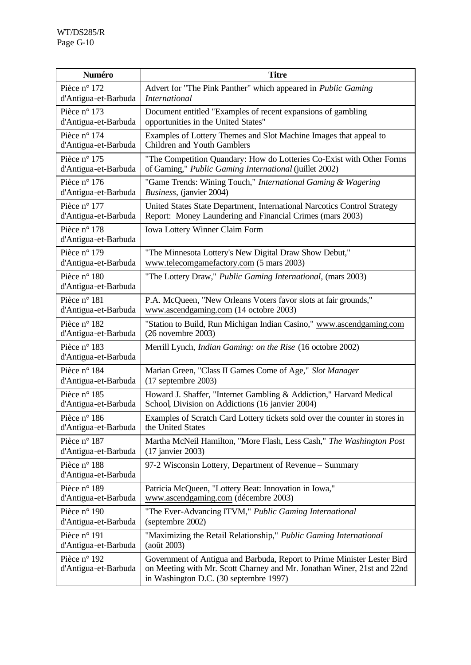| <b>Numéro</b>                        | <b>Titre</b>                                                                                                                                                                                 |
|--------------------------------------|----------------------------------------------------------------------------------------------------------------------------------------------------------------------------------------------|
| Pièce n° 172                         | Advert for "The Pink Panther" which appeared in Public Gaming                                                                                                                                |
| d'Antigua-et-Barbuda                 | <i>International</i>                                                                                                                                                                         |
| Pièce n° 173                         | Document entitled "Examples of recent expansions of gambling                                                                                                                                 |
| d'Antigua-et-Barbuda                 | opportunities in the United States"                                                                                                                                                          |
| Pièce n° 174                         | Examples of Lottery Themes and Slot Machine Images that appeal to                                                                                                                            |
| d'Antigua-et-Barbuda                 | Children and Youth Gamblers                                                                                                                                                                  |
| Pièce n° 175                         | "The Competition Quandary: How do Lotteries Co-Exist with Other Forms                                                                                                                        |
| d'Antigua-et-Barbuda                 | of Gaming," Public Gaming International (juillet 2002)                                                                                                                                       |
| Pièce n° 176                         | "Game Trends: Wining Touch," International Gaming & Wagering                                                                                                                                 |
| d'Antigua-et-Barbuda                 | Business, (janvier 2004)                                                                                                                                                                     |
| Pièce n° 177                         | United States State Department, International Narcotics Control Strategy                                                                                                                     |
| d'Antigua-et-Barbuda                 | Report: Money Laundering and Financial Crimes (mars 2003)                                                                                                                                    |
| Pièce n° 178<br>d'Antigua-et-Barbuda | Iowa Lottery Winner Claim Form                                                                                                                                                               |
| Pièce n° 179                         | "The Minnesota Lottery's New Digital Draw Show Debut,"                                                                                                                                       |
| d'Antigua-et-Barbuda                 | www.telecomgamefactory.com (5 mars 2003)                                                                                                                                                     |
| Pièce n° 180<br>d'Antigua-et-Barbuda | "The Lottery Draw," Public Gaming International, (mars 2003)                                                                                                                                 |
| Pièce n° 181                         | P.A. McQueen, "New Orleans Voters favor slots at fair grounds,"                                                                                                                              |
| d'Antigua-et-Barbuda                 | www.ascendgaming.com (14 octobre 2003)                                                                                                                                                       |
| Pièce n° 182                         | "Station to Build, Run Michigan Indian Casino," www.ascendgaming.com                                                                                                                         |
| d'Antigua-et-Barbuda                 | $(26$ novembre $2003)$                                                                                                                                                                       |
| Pièce n° 183<br>d'Antigua-et-Barbuda | Merrill Lynch, <i>Indian Gaming: on the Rise</i> (16 octobre 2002)                                                                                                                           |
| Pièce n° 184                         | Marian Green, "Class II Games Come of Age," Slot Manager                                                                                                                                     |
| d'Antigua-et-Barbuda                 | $(17$ septembre 2003)                                                                                                                                                                        |
| Pièce n° 185                         | Howard J. Shaffer, "Internet Gambling & Addiction," Harvard Medical                                                                                                                          |
| d'Antigua-et-Barbuda                 | School, Division on Addictions (16 janvier 2004)                                                                                                                                             |
| Pièce n° 186                         | Examples of Scratch Card Lottery tickets sold over the counter in stores in                                                                                                                  |
| d'Antigua-et-Barbuda                 | the United States                                                                                                                                                                            |
| Pièce n° 187                         | Martha McNeil Hamilton, "More Flash, Less Cash," The Washington Post                                                                                                                         |
| d'Antigua-et-Barbuda                 | (17 janvier 2003)                                                                                                                                                                            |
| Pièce n° 188<br>d'Antigua-et-Barbuda | 97-2 Wisconsin Lottery, Department of Revenue – Summary                                                                                                                                      |
| Pièce n° 189                         | Patricia McQueen, "Lottery Beat: Innovation in Iowa,"                                                                                                                                        |
| d'Antigua-et-Barbuda                 | www.ascendgaming.com (décembre 2003)                                                                                                                                                         |
| Pièce n° 190                         | "The Ever-Advancing ITVM," Public Gaming International                                                                                                                                       |
| d'Antigua-et-Barbuda                 | (septembre 2002)                                                                                                                                                                             |
| Pièce n° 191                         | "Maximizing the Retail Relationship," Public Gaming International                                                                                                                            |
| d'Antigua-et-Barbuda                 | (août 2003)                                                                                                                                                                                  |
| Pièce n° 192<br>d'Antigua-et-Barbuda | Government of Antigua and Barbuda, Report to Prime Minister Lester Bird<br>on Meeting with Mr. Scott Charney and Mr. Jonathan Winer, 21st and 22nd<br>in Washington D.C. (30 septembre 1997) |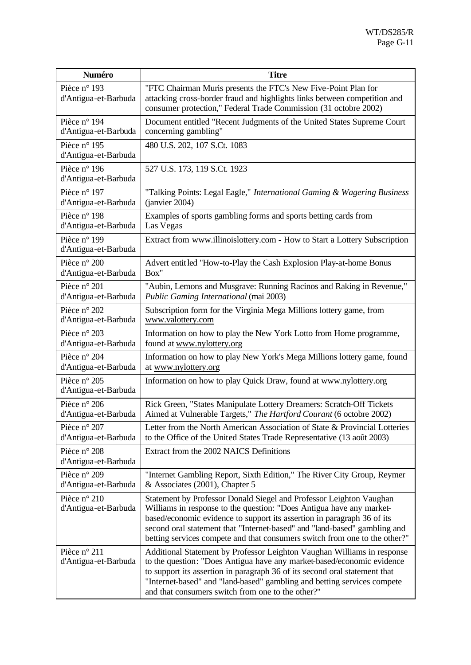| <b>Numéro</b>                        | <b>Titre</b>                                                                                                                                                                                                                                                                                                                                                                      |
|--------------------------------------|-----------------------------------------------------------------------------------------------------------------------------------------------------------------------------------------------------------------------------------------------------------------------------------------------------------------------------------------------------------------------------------|
| Pièce n° 193<br>d'Antigua-et-Barbuda | "FTC Chairman Muris presents the FTC's New Five-Point Plan for<br>attacking cross-border fraud and highlights links between competition and<br>consumer protection," Federal Trade Commission (31 octobre 2002)                                                                                                                                                                   |
| Pièce n° 194                         | Document entitled "Recent Judgments of the United States Supreme Court                                                                                                                                                                                                                                                                                                            |
| d'Antigua-et-Barbuda                 | concerning gambling"                                                                                                                                                                                                                                                                                                                                                              |
| Pièce n° 195<br>d'Antigua-et-Barbuda | 480 U.S. 202, 107 S.Ct. 1083                                                                                                                                                                                                                                                                                                                                                      |
| Pièce n° 196<br>d'Antigua-et-Barbuda | 527 U.S. 173, 119 S.Ct. 1923                                                                                                                                                                                                                                                                                                                                                      |
| Pièce n° 197                         | "Talking Points: Legal Eagle," International Gaming & Wagering Business                                                                                                                                                                                                                                                                                                           |
| d'Antigua-et-Barbuda                 | (ianvier 2004)                                                                                                                                                                                                                                                                                                                                                                    |
| Pièce n° 198                         | Examples of sports gambling forms and sports betting cards from                                                                                                                                                                                                                                                                                                                   |
| d'Antigua-et-Barbuda                 | Las Vegas                                                                                                                                                                                                                                                                                                                                                                         |
| Pièce n° 199<br>d'Antigua-et-Barbuda | Extract from www.illinoislottery.com - How to Start a Lottery Subscription                                                                                                                                                                                                                                                                                                        |
| Pièce n° 200                         | Advert entitled "How-to-Play the Cash Explosion Play-at-home Bonus                                                                                                                                                                                                                                                                                                                |
| d'Antigua-et-Barbuda                 | Box"                                                                                                                                                                                                                                                                                                                                                                              |
| Pièce n° 201                         | "Aubin, Lemons and Musgrave: Running Racinos and Raking in Revenue,"                                                                                                                                                                                                                                                                                                              |
| d'Antigua-et-Barbuda                 | Public Gaming International (mai 2003)                                                                                                                                                                                                                                                                                                                                            |
| Pièce n° 202                         | Subscription form for the Virginia Mega Millions lottery game, from                                                                                                                                                                                                                                                                                                               |
| d'Antigua-et-Barbuda                 | www.valottery.com                                                                                                                                                                                                                                                                                                                                                                 |
| Pièce n° 203                         | Information on how to play the New York Lotto from Home programme,                                                                                                                                                                                                                                                                                                                |
| d'Antigua-et-Barbuda                 | found at www.nylottery.org                                                                                                                                                                                                                                                                                                                                                        |
| Pièce n° 204                         | Information on how to play New York's Mega Millions lottery game, found                                                                                                                                                                                                                                                                                                           |
| d'Antigua-et-Barbuda                 | at www.nylottery.org                                                                                                                                                                                                                                                                                                                                                              |
| Pièce n° 205<br>d'Antigua-et-Barbuda | Information on how to play Quick Draw, found at www.nylottery.org                                                                                                                                                                                                                                                                                                                 |
| Pièce n° 206                         | Rick Green, "States Manipulate Lottery Dreamers: Scratch-Off Tickets                                                                                                                                                                                                                                                                                                              |
| d'Antigua-et-Barbuda                 | Aimed at Vulnerable Targets," The Hartford Courant (6 octobre 2002)                                                                                                                                                                                                                                                                                                               |
| Pièce n° 207                         | Letter from the North American Association of State & Provincial Lotteries                                                                                                                                                                                                                                                                                                        |
| d'Antigua-et-Barbuda                 | to the Office of the United States Trade Representative (13 août 2003)                                                                                                                                                                                                                                                                                                            |
| Pièce n° 208<br>d'Antigua-et-Barbuda | Extract from the 2002 NAICS Definitions                                                                                                                                                                                                                                                                                                                                           |
| Pièce n° 209                         | "Internet Gambling Report, Sixth Edition," The River City Group, Reymer                                                                                                                                                                                                                                                                                                           |
| d'Antigua-et-Barbuda                 | & Associates $(2001)$ , Chapter 5                                                                                                                                                                                                                                                                                                                                                 |
| Pièce n° 210<br>d'Antigua-et-Barbuda | Statement by Professor Donald Siegel and Professor Leighton Vaughan<br>Williams in response to the question: "Does Antigua have any market-<br>based/economic evidence to support its assertion in paragraph 36 of its<br>second oral statement that "Internet-based" and "land-based" gambling and<br>betting services compete and that consumers switch from one to the other?" |
| Pièce n° 211<br>d'Antigua-et-Barbuda | Additional Statement by Professor Leighton Vaughan Williams in response<br>to the question: "Does Antigua have any market-based/economic evidence<br>to support its assertion in paragraph 36 of its second oral statement that<br>"Internet-based" and "land-based" gambling and betting services compete<br>and that consumers switch from one to the other?"                   |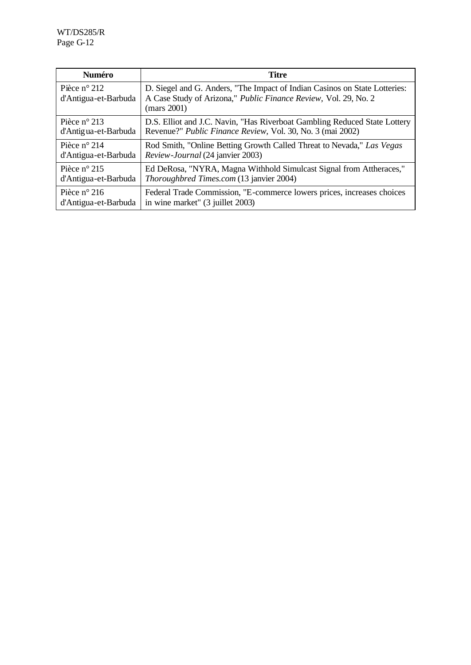| <b>Numéro</b>                        | <b>Titre</b>                                                                                                                                                 |
|--------------------------------------|--------------------------------------------------------------------------------------------------------------------------------------------------------------|
| Pièce n° 212<br>d'Antigua-et-Barbuda | D. Siegel and G. Anders, "The Impact of Indian Casinos on State Lotteries:<br>A Case Study of Arizona," Public Finance Review, Vol. 29, No. 2<br>(mars 2001) |
| Pièce $n^{\circ}$ 213                | D.S. Elliot and J.C. Navin, "Has Riverboat Gambling Reduced State Lottery                                                                                    |
| d'Antigua-et-Barbuda                 | Revenue?" <i>Public Finance Review</i> , Vol. 30, No. 3 (mai 2002)                                                                                           |
| Pièce $n^{\circ}$ 214                | Rod Smith, "Online Betting Growth Called Threat to Nevada," Las Vegas                                                                                        |
| d'Antigua-et-Barbuda                 | Review-Journal (24 janvier 2003)                                                                                                                             |
| Pièce $n^{\circ}$ 215                | Ed DeRosa, "NYRA, Magna Withhold Simulcast Signal from Attheraces,"                                                                                          |
| d'Antigua-et-Barbuda                 | <i>Thoroughbred Times.com</i> (13 janvier 2004)                                                                                                              |
| Pièce $n^{\circ}$ 216                | Federal Trade Commission, "E-commerce lowers prices, increases choices                                                                                       |
| d'Antigua-et-Barbuda                 | in wine market" (3 juillet 2003)                                                                                                                             |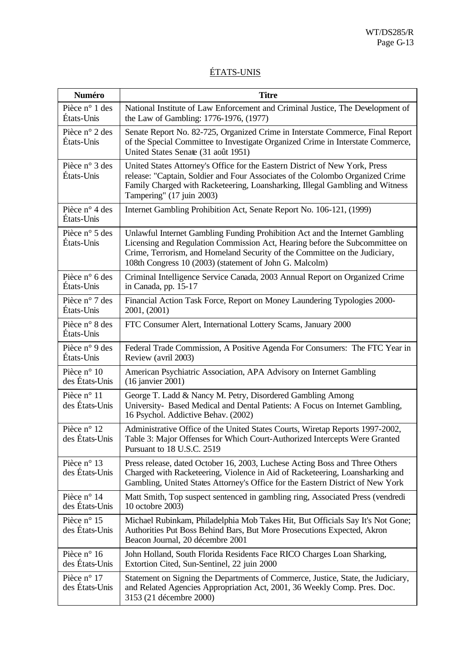## ÉTATS-UNIS

| Numéro                        | <b>Titre</b>                                                                                                                                                                                                                                                                                         |
|-------------------------------|------------------------------------------------------------------------------------------------------------------------------------------------------------------------------------------------------------------------------------------------------------------------------------------------------|
| Pièce n° 1 des<br>États-Unis  | National Institute of Law Enforcement and Criminal Justice, The Development of<br>the Law of Gambling: 1776-1976, (1977)                                                                                                                                                                             |
| Pièce n° 2 des<br>États-Unis  | Senate Report No. 82-725, Organized Crime in Interstate Commerce, Final Report<br>of the Special Committee to Investigate Organized Crime in Interstate Commerce,<br>United States Senate (31 août 1951)                                                                                             |
| Pièce n° 3 des<br>États-Unis  | United States Attorney's Office for the Eastern District of New York, Press<br>release: "Captain, Soldier and Four Associates of the Colombo Organized Crime<br>Family Charged with Racketeering, Loansharking, Illegal Gambling and Witness<br>Tampering" (17 juin 2003)                            |
| Pièce n° 4 des<br>États-Unis  | Internet Gambling Prohibition Act, Senate Report No. 106-121, (1999)                                                                                                                                                                                                                                 |
| Pièce n° 5 des<br>États-Unis  | Unlawful Internet Gambling Funding Prohibition Act and the Internet Gambling<br>Licensing and Regulation Commission Act, Hearing before the Subcommittee on<br>Crime, Terrorism, and Homeland Security of the Committee on the Judiciary,<br>108th Congress 10 (2003) (statement of John G. Malcolm) |
| Pièce n° 6 des<br>États-Unis  | Criminal Intelligence Service Canada, 2003 Annual Report on Organized Crime<br>in Canada, pp. 15-17                                                                                                                                                                                                  |
| Pièce n° 7 des<br>États-Unis  | Financial Action Task Force, Report on Money Laundering Typologies 2000-<br>2001, (2001)                                                                                                                                                                                                             |
| Pièce n° 8 des<br>États-Unis  | FTC Consumer Alert, International Lottery Scams, January 2000                                                                                                                                                                                                                                        |
| Pièce n° 9 des<br>États-Unis  | Federal Trade Commission, A Positive Agenda For Consumers: The FTC Year in<br>Review (avril 2003)                                                                                                                                                                                                    |
| Pièce n° 10<br>des États-Unis | American Psychiatric Association, APA Advisory on Internet Gambling<br>$(16$ janvier 2001)                                                                                                                                                                                                           |
| Pièce n° 11<br>des États-Unis | George T. Ladd & Nancy M. Petry, Disordered Gambling Among<br>University- Based Medical and Dental Patients: A Focus on Internet Gambling,<br>16 Psychol. Addictive Behav. (2002)                                                                                                                    |
| Pièce n° 12<br>des États-Unis | Administrative Office of the United States Courts, Wiretap Reports 1997-2002,<br>Table 3: Major Offenses for Which Court-Authorized Intercepts Were Granted<br>Pursuant to 18 U.S.C. 2519                                                                                                            |
| Pièce n° 13<br>des États-Unis | Press release, dated October 16, 2003, Luchese Acting Boss and Three Others<br>Charged with Racketeering, Violence in Aid of Racketeering, Loansharking and<br>Gambling, United States Attorney's Office for the Eastern District of New York                                                        |
| Pièce n° 14<br>des États-Unis | Matt Smith, Top suspect sentenced in gambling ring, Associated Press (vendredi<br>10 octobre 2003)                                                                                                                                                                                                   |
| Pièce n° 15<br>des États-Unis | Michael Rubinkam, Philadelphia Mob Takes Hit, But Officials Say It's Not Gone;<br>Authorities Put Boss Behind Bars, But More Prosecutions Expected, Akron<br>Beacon Journal, 20 décembre 2001                                                                                                        |
| Pièce n° 16<br>des États-Unis | John Holland, South Florida Residents Face RICO Charges Loan Sharking,<br>Extortion Cited, Sun-Sentinel, 22 juin 2000                                                                                                                                                                                |
| Pièce n° 17<br>des États-Unis | Statement on Signing the Departments of Commerce, Justice, State, the Judiciary,<br>and Related Agencies Appropriation Act, 2001, 36 Weekly Comp. Pres. Doc.<br>3153 (21 décembre 2000)                                                                                                              |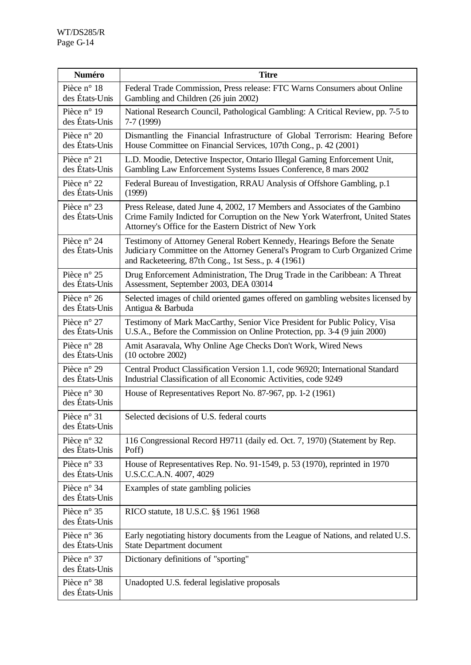| Numéro                                 | <b>Titre</b>                                                                                                                                                                                                            |
|----------------------------------------|-------------------------------------------------------------------------------------------------------------------------------------------------------------------------------------------------------------------------|
| Pièce n° 18                            | Federal Trade Commission, Press release: FTC Warns Consumers about Online                                                                                                                                               |
| des États-Unis                         | Gambling and Children (26 juin 2002)                                                                                                                                                                                    |
| Pièce n° 19                            | National Research Council, Pathological Gambling: A Critical Review, pp. 7-5 to                                                                                                                                         |
| des États-Unis                         | 7-7 (1999)                                                                                                                                                                                                              |
| Pièce n° 20                            | Dismantling the Financial Infrastructure of Global Terrorism: Hearing Before                                                                                                                                            |
| des États-Unis                         | House Committee on Financial Services, 107th Cong., p. 42 (2001)                                                                                                                                                        |
| Pièce n° 21                            | L.D. Moodie, Detective Inspector, Ontario Illegal Gaming Enforcement Unit,                                                                                                                                              |
| des États-Unis                         | Gambling Law Enforcement Systems Issues Conference, 8 mars 2002                                                                                                                                                         |
| Pièce n° 22                            | Federal Bureau of Investigation, RRAU Analysis of Offshore Gambling, p.1                                                                                                                                                |
| des États-Unis                         | (1999)                                                                                                                                                                                                                  |
| Pièce n° 23<br>des États-Unis          | Press Release, dated June 4, 2002, 17 Members and Associates of the Gambino<br>Crime Family Indicted for Corruption on the New York Waterfront, United States<br>Attorney's Office for the Eastern District of New York |
| Pièce n° 24<br>des États-Unis          | Testimony of Attorney General Robert Kennedy, Hearings Before the Senate<br>Judiciary Committee on the Attorney General's Program to Curb Organized Crime<br>and Racketeering, 87th Cong., 1st Sess., p. 4 (1961)       |
| Pièce n° 25                            | Drug Enforcement Administration, The Drug Trade in the Caribbean: A Threat                                                                                                                                              |
| des États-Unis                         | Assessment, September 2003, DEA 03014                                                                                                                                                                                   |
| Pièce $n^{\circ}$ 26                   | Selected images of child oriented games offered on gambling websites licensed by                                                                                                                                        |
| des États-Unis                         | Antigua & Barbuda                                                                                                                                                                                                       |
| Pièce n° 27                            | Testimony of Mark MacCarthy, Senior Vice President for Public Policy, Visa                                                                                                                                              |
| des États-Unis                         | U.S.A., Before the Commission on Online Protection, pp. 3-4 (9 juin 2000)                                                                                                                                               |
| Pièce n° 28                            | Amit Asaravala, Why Online Age Checks Don't Work, Wired News                                                                                                                                                            |
| des États-Unis                         | $(10 \text{ octobre } 2002)$                                                                                                                                                                                            |
| Pièce n° 29                            | Central Product Classification Version 1.1, code 96920; International Standard                                                                                                                                          |
| des États-Unis                         | Industrial Classification of all Economic Activities, code 9249                                                                                                                                                         |
| Pièce $n^{\circ}$ 30<br>des États-Unis | House of Representatives Report No. 87-967, pp. 1-2 (1961)                                                                                                                                                              |
| Pièce n° 31<br>des États-Unis          | Selected decisions of U.S. federal courts                                                                                                                                                                               |
| Pièce n° 32                            | 116 Congressional Record H9711 (daily ed. Oct. 7, 1970) (Statement by Rep.                                                                                                                                              |
| des États-Unis                         | Poff)                                                                                                                                                                                                                   |
| Pièce n° 33                            | House of Representatives Rep. No. 91-1549, p. 53 (1970), reprinted in 1970                                                                                                                                              |
| des États-Unis                         | U.S.C.C.A.N. 4007, 4029                                                                                                                                                                                                 |
| Pièce n° 34<br>des États-Unis          | Examples of state gambling policies                                                                                                                                                                                     |
| Pièce n° 35<br>des États-Unis          | RICO statute, 18 U.S.C. §§ 1961 1968                                                                                                                                                                                    |
| Pièce n° 36                            | Early negotiating history documents from the League of Nations, and related U.S.                                                                                                                                        |
| des États-Unis                         | <b>State Department document</b>                                                                                                                                                                                        |
| Pièce n° 37<br>des États-Unis          | Dictionary definitions of "sporting"                                                                                                                                                                                    |
| Pièce n° 38<br>des États-Unis          | Unadopted U.S. federal legislative proposals                                                                                                                                                                            |